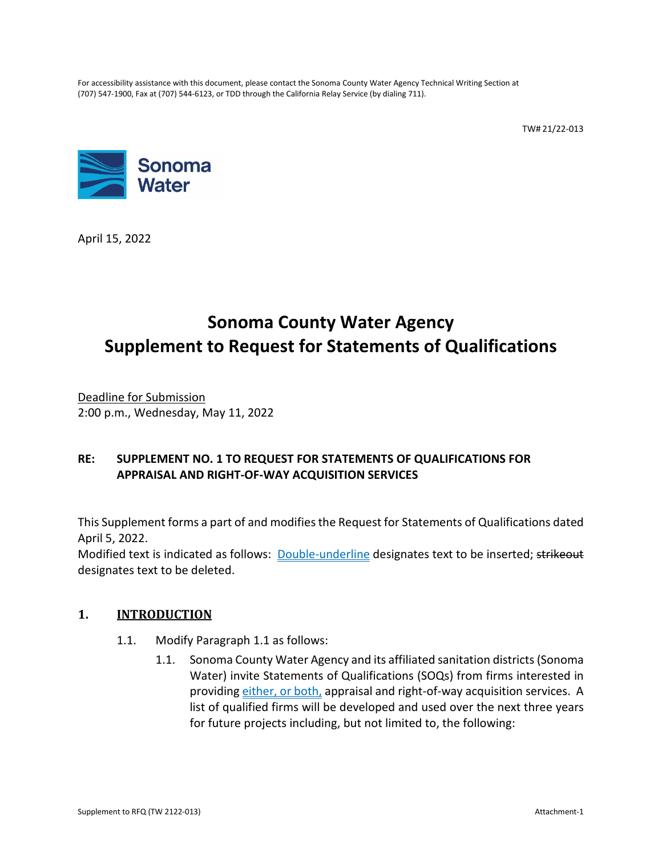For accessibility assistance with this document, please contact the Sonoma County Water Agency Technical Writing Section at (707) 547-1900, Fax at (707) 544-6123, or TDD through the California Relay Service (by dialing 711).

TW# 21/22-013



April 15, 2022

# **Sonoma County Water Agency Supplement to Request for Statements of Qualifications**

Deadline for Submission 2:00 p.m., Wednesday, May 11, 2022

# **RE: SUPPLEMENT NO. 1 TO REQUEST FOR STATEMENTS OF QUALIFICATIONS FOR APPRAISAL AND RIGHT-OF-WAY ACQUISITION SERVICES**

This Supplement forms a part of and modifies the Request for Statements of Qualifications dated April 5, 2022.

Modified text is indicated as follows: Double-underline designates text to be inserted; strikeout designates text to be deleted.

# **1. INTRODUCTION**

- 1.1. Modify Paragraph 1.1 as follows:
	- 1.1. Sonoma County Water Agency and its affiliated sanitation districts(Sonoma Water) invite Statements of Qualifications (SOQs) from firms interested in providing either, or both, appraisal and right-of-way acquisition services. A list of qualified firms will be developed and used over the next three years for future projects including, but not limited to, the following: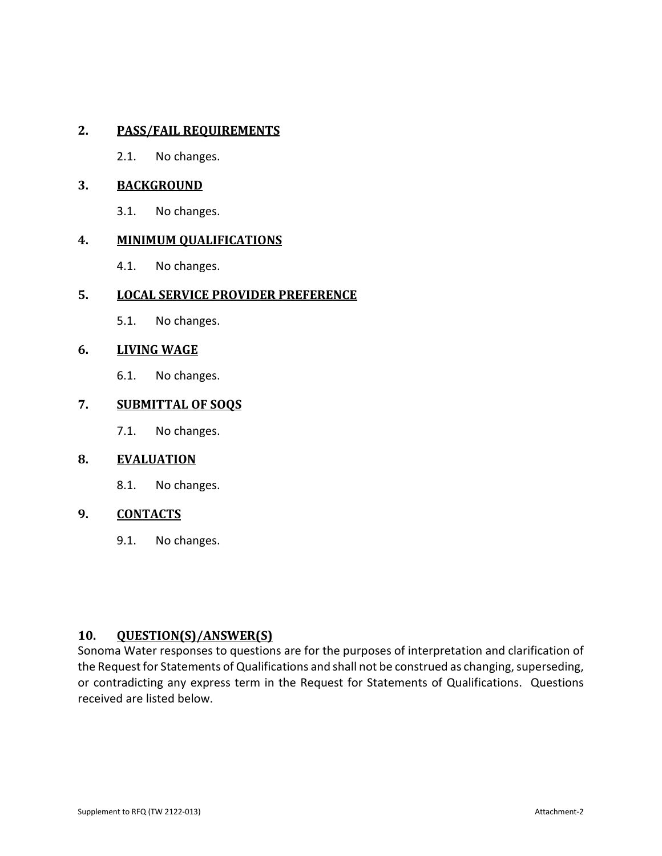# **2. PASS/FAIL REQUIREMENTS**

2.1. No changes.

### **3. BACKGROUND**

3.1. No changes.

### **4. MINIMUM QUALIFICATIONS**

4.1. No changes.

# **5. LOCAL SERVICE PROVIDER PREFERENCE**

5.1. No changes.

### **6. LIVING WAGE**

6.1. No changes.

### **7. SUBMITTAL OF SOQS**

7.1. No changes.

#### **8. EVALUATION**

8.1. No changes.

# **9. CONTACTS**

9.1. No changes.

# **10. QUESTION(S)/ANSWER(S)**

Sonoma Water responses to questions are for the purposes of interpretation and clarification of the Request for Statements of Qualifications and shall not be construed as changing, superseding, or contradicting any express term in the Request for Statements of Qualifications. Questions received are listed below.